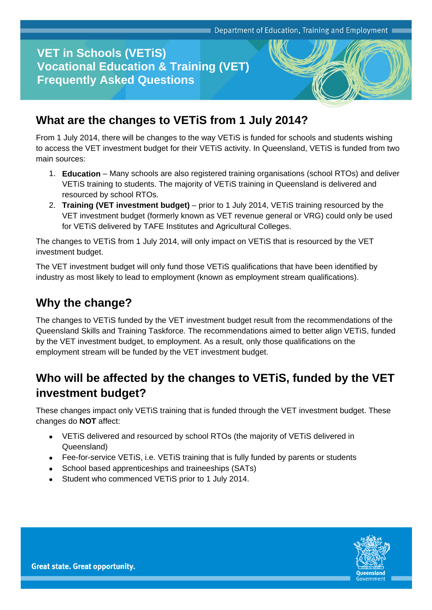#### **VET in Schools (VETiS) Vocational Education & Training (VET) Frequently Asked Questions**



From 1 July 2014, there will be changes to the way VETiS is funded for schools and students wishing to access the VET investment budget for their VETiS activity. In Queensland, VETiS is funded from two main sources:

- 1. **Education** Many schools are also registered training organisations (school RTOs) and deliver VETiS training to students. The majority of VETiS training in Queensland is delivered and resourced by school RTOs.
- 2. **Training (VET investment budget)** prior to 1 July 2014, VETiS training resourced by the VET investment budget (formerly known as VET revenue general or VRG) could only be used for VETiS delivered by TAFE Institutes and Agricultural Colleges.

The changes to VETiS from 1 July 2014, will only impact on VETiS that is resourced by the VET investment budget.

The VET investment budget will only fund those VETiS qualifications that have been identified by industry as most likely to lead to employment (known as employment stream qualifications).

#### **Why the change?**

The changes to VETiS funded by the VET investment budget result from the recommendations of the Queensland Skills and Training Taskforce. The recommendations aimed to better align VETiS, funded by the VET investment budget, to employment. As a result, only those qualifications on the employment stream will be funded by the VET investment budget.

### **Who will be affected by the changes to VETiS, funded by the VET investment budget?**

These changes impact only VETiS training that is funded through the VET investment budget. These changes do **NOT** affect:

- VETiS delivered and resourced by school RTOs (the majority of VETiS delivered in Queensland)
- Fee-for-service VETiS, i.e. VETiS training that is fully funded by parents or students
- School based apprenticeships and traineeships (SATs)
- Student who commenced VETiS prior to 1 July 2014.

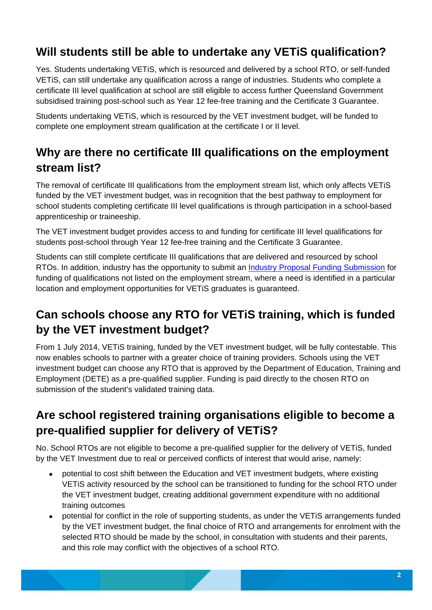### **Will students still be able to undertake any VETiS qualification?**

Yes. Students undertaking VETiS, which is resourced and delivered by a school RTO, or self-funded VETiS, can still undertake any qualification across a range of industries. Students who complete a certificate III level qualification at school are still eligible to access further Queensland Government subsidised training post-school such as Year 12 fee-free training and the Certificate 3 Guarantee.

Students undertaking VETiS, which is resourced by the VET investment budget, will be funded to complete one employment stream qualification at the certificate I or II level.

### **Why are there no certificate III qualifications on the employment stream list?**

The removal of certificate III qualifications from the employment stream list, which only affects VETiS funded by the VET investment budget, was in recognition that the best pathway to employment for school students completing certificate III level qualifications is through participation in a school-based apprenticeship or traineeship.

The VET investment budget provides access to and funding for certificate III level qualifications for students post-school through Year 12 fee-free training and the Certificate 3 Guarantee.

Students can still complete certificate III qualifications that are delivered and resourced by school RTOs. In addition, industry has the opportunity to submit an [Industry Proposal Funding Submission](http://training.qld.gov.au/training-organisations/funded-programs/vetis.html) for funding of qualifications not listed on the employment stream, where a need is identified in a particular location and employment opportunities for VETiS graduates is guaranteed.

# **Can schools choose any RTO for VETiS training, which is funded by the VET investment budget?**

From 1 July 2014, VETiS training, funded by the VET investment budget, will be fully contestable. This now enables schools to partner with a greater choice of training providers. Schools using the VET investment budget can choose any RTO that is approved by the Department of Education, Training and Employment (DETE) as a pre-qualified supplier. Funding is paid directly to the chosen RTO on submission of the student's validated training data.

## **Are school registered training organisations eligible to become a pre-qualified supplier for delivery of VETiS?**

No. School RTOs are not eligible to become a pre-qualified supplier for the delivery of VETiS, funded by the VET Investment due to real or perceived conflicts of interest that would arise, namely:

- potential to cost shift between the Education and VET investment budgets, where existing VETiS activity resourced by the school can be transitioned to funding for the school RTO under the VET investment budget, creating additional government expenditure with no additional training outcomes
- potential for conflict in the role of supporting students, as under the VETiS arrangements funded by the VET investment budget, the final choice of RTO and arrangements for enrolment with the selected RTO should be made by the school, in consultation with students and their parents, and this role may conflict with the objectives of a school RTO.